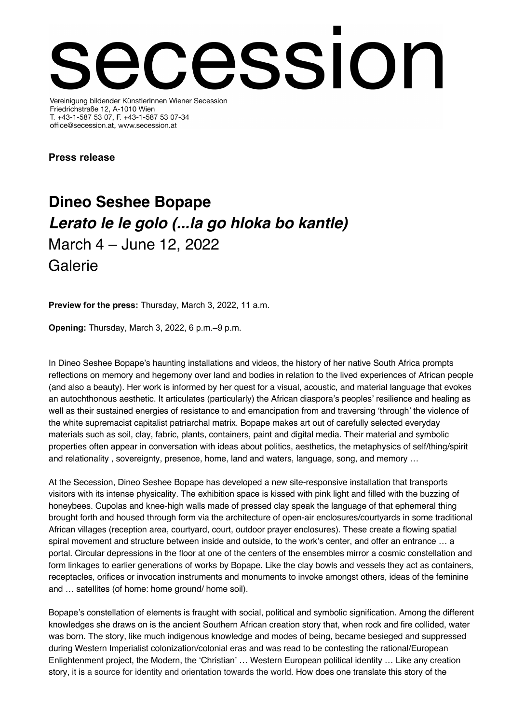## cession Vereinigung bildender KünstlerInnen Wiener Secession

Friedrichstraße 12, A-1010 Wien T. +43-1-587 53 07, F. +43-1-587 53 07-34 office@secession.at, www.secession.at

**Press release**

## **Dineo Seshee Bopape** *Lerato le le golo (...la go hloka bo kantle)* March 4 – June 12, 2022 Galerie

**Preview for the press:** Thursday, March 3, 2022, 11 a.m.

**Opening:** Thursday, March 3, 2022, 6 p.m.–9 p.m.

In Dineo Seshee Bopape's haunting installations and videos, the history of her native South Africa prompts reflections on memory and hegemony over land and bodies in relation to the lived experiences of African people (and also a beauty). Her work is informed by her quest for a visual, acoustic, and material language that evokes an autochthonous aesthetic. It articulates (particularly) the African diaspora's peoples' resilience and healing as well as their sustained energies of resistance to and emancipation from and traversing 'through' the violence of the white supremacist capitalist patriarchal matrix. Bopape makes art out of carefully selected everyday materials such as soil, clay, fabric, plants, containers, paint and digital media. Their material and symbolic properties often appear in conversation with ideas about politics, aesthetics, the metaphysics of self/thing/spirit and relationality , sovereignty, presence, home, land and waters, language, song, and memory …

At the Secession, Dineo Seshee Bopape has developed a new site-responsive installation that transports visitors with its intense physicality. The exhibition space is kissed with pink light and filled with the buzzing of honeybees. Cupolas and knee-high walls made of pressed clay speak the language of that ephemeral thing brought forth and housed through form via the architecture of open-air enclosures/courtyards in some traditional African villages (reception area, courtyard, court, outdoor prayer enclosures). These create a flowing spatial spiral movement and structure between inside and outside, to the work's center, and offer an entrance … a portal. Circular depressions in the floor at one of the centers of the ensembles mirror a cosmic constellation and form linkages to earlier generations of works by Bopape. Like the clay bowls and vessels they act as containers, receptacles, orifices or invocation instruments and monuments to invoke amongst others, ideas of the feminine and … satellites (of home: home ground/ home soil).

Bopape's constellation of elements is fraught with social, political and symbolic signification. Among the different knowledges she draws on is the ancient Southern African creation story that, when rock and fire collided, water was born. The story, like much indigenous knowledge and modes of being, became besieged and suppressed during Western Imperialist colonization/colonial eras and was read to be contesting the rational/European Enlightenment project, the Modern, the 'Christian' … Western European political identity … Like any creation story, it is a source for identity and orientation towards the world. How does one translate this story of the